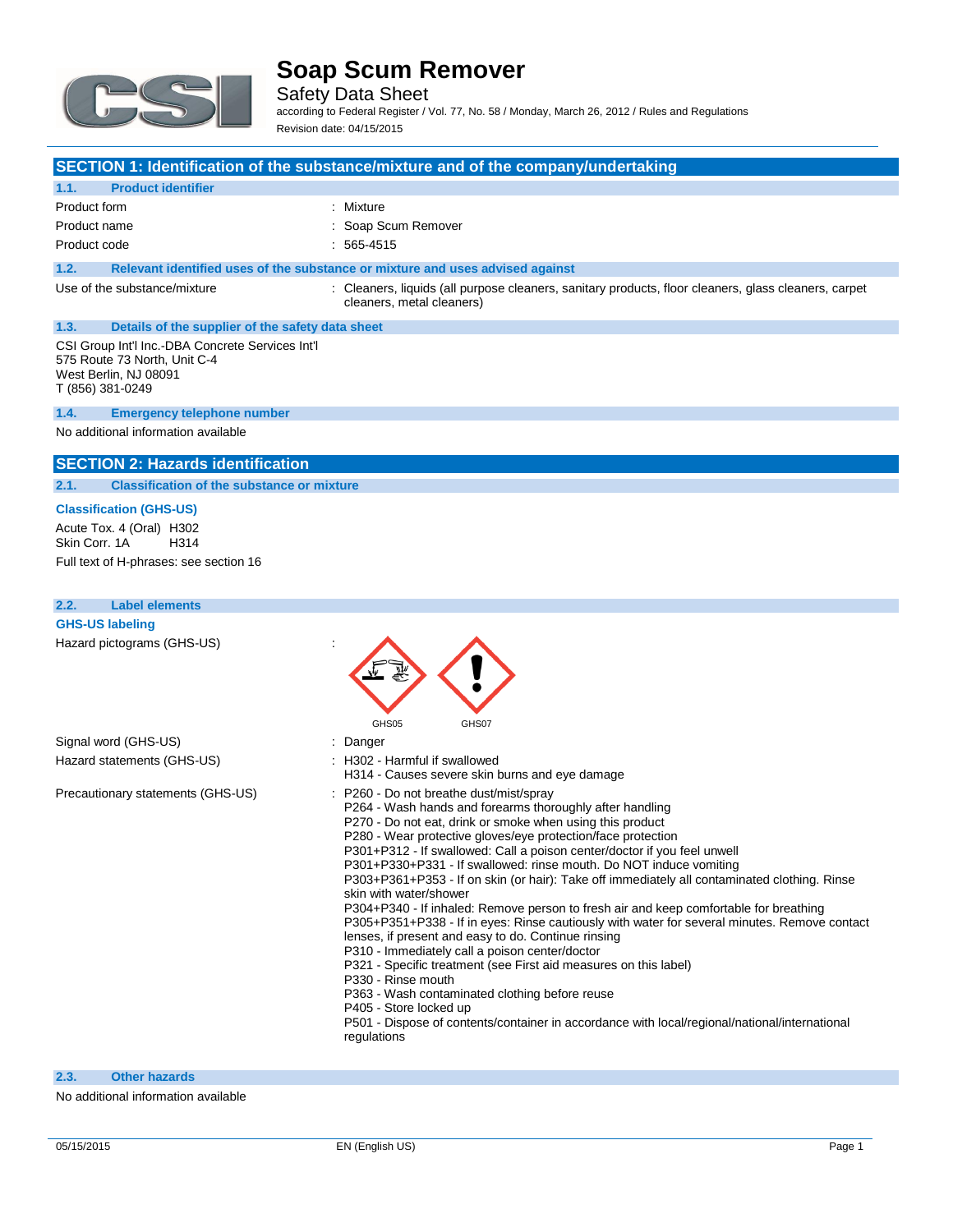

Safety Data Sheet

according to Federal Register / Vol. 77, No. 58 / Monday, March 26, 2012 / Rules and Regulations Revision date: 04/15/2015

### **SECTION 1: Identification of the substance/mixture and of the company/undertaking**

#### **1.1. Product identifier**

| Product form | : Mixture           |
|--------------|---------------------|
| Product name | : Soap Scum Remover |
| Product code | $: 565-4515$        |

### **1.2. Relevant identified uses of the substance or mixture and uses advised against**

Use of the substance/mixture : Cleaners, liquids (all purpose cleaners, sanitary products, floor cleaners, glass cleaners, carpet cleaners, metal cleaners)

# **1.3. Details of the supplier of the safety data sheet**

CSI Group Int'l Inc.-DBA Concrete Services Int'l 575 Route 73 North, Unit C-4 West Berlin, NJ 08091 T (856) 381-0249

#### **1.4. Emergency telephone number**

No additional information available

### **SECTION 2: Hazards identification**

#### **2.1. Classification of the substance or mixture**

### **Classification (GHS-US)**

Acute Tox. 4 (Oral) H302<br>Skin Corr. 1A H314 Skin Corr. 1A Full text of H-phrases: see section 16

| <b>Label elements</b><br>2.2.     |                                                                                                                                                                                                                                                                                                                                                                                                                                                                                                                                                                                                                                                                                                                                                                                                                                                                                                                                                                                                                                                                                                    |
|-----------------------------------|----------------------------------------------------------------------------------------------------------------------------------------------------------------------------------------------------------------------------------------------------------------------------------------------------------------------------------------------------------------------------------------------------------------------------------------------------------------------------------------------------------------------------------------------------------------------------------------------------------------------------------------------------------------------------------------------------------------------------------------------------------------------------------------------------------------------------------------------------------------------------------------------------------------------------------------------------------------------------------------------------------------------------------------------------------------------------------------------------|
| <b>GHS-US labeling</b>            |                                                                                                                                                                                                                                                                                                                                                                                                                                                                                                                                                                                                                                                                                                                                                                                                                                                                                                                                                                                                                                                                                                    |
| Hazard pictograms (GHS-US)        | GHS05<br>GHS07                                                                                                                                                                                                                                                                                                                                                                                                                                                                                                                                                                                                                                                                                                                                                                                                                                                                                                                                                                                                                                                                                     |
| Signal word (GHS-US)              | Danger                                                                                                                                                                                                                                                                                                                                                                                                                                                                                                                                                                                                                                                                                                                                                                                                                                                                                                                                                                                                                                                                                             |
| Hazard statements (GHS-US)        | : H302 - Harmful if swallowed<br>H314 - Causes severe skin burns and eye damage                                                                                                                                                                                                                                                                                                                                                                                                                                                                                                                                                                                                                                                                                                                                                                                                                                                                                                                                                                                                                    |
| Precautionary statements (GHS-US) | P260 - Do not breathe dust/mist/spray<br>P264 - Wash hands and forearms thoroughly after handling<br>P270 - Do not eat, drink or smoke when using this product<br>P280 - Wear protective gloves/eye protection/face protection<br>P301+P312 - If swallowed: Call a poison center/doctor if you feel unwell<br>P301+P330+P331 - If swallowed: rinse mouth. Do NOT induce vomiting<br>P303+P361+P353 - If on skin (or hair): Take off immediately all contaminated clothing. Rinse<br>skin with water/shower<br>P304+P340 - If inhaled: Remove person to fresh air and keep comfortable for breathing<br>P305+P351+P338 - If in eyes: Rinse cautiously with water for several minutes. Remove contact<br>lenses, if present and easy to do. Continue rinsing<br>P310 - Immediately call a poison center/doctor<br>P321 - Specific treatment (see First aid measures on this label)<br>P330 - Rinse mouth<br>P363 - Wash contaminated clothing before reuse<br>P405 - Store locked up<br>P501 - Dispose of contents/container in accordance with local/regional/national/international<br>regulations |

#### **2.3. Other hazards**

No additional information available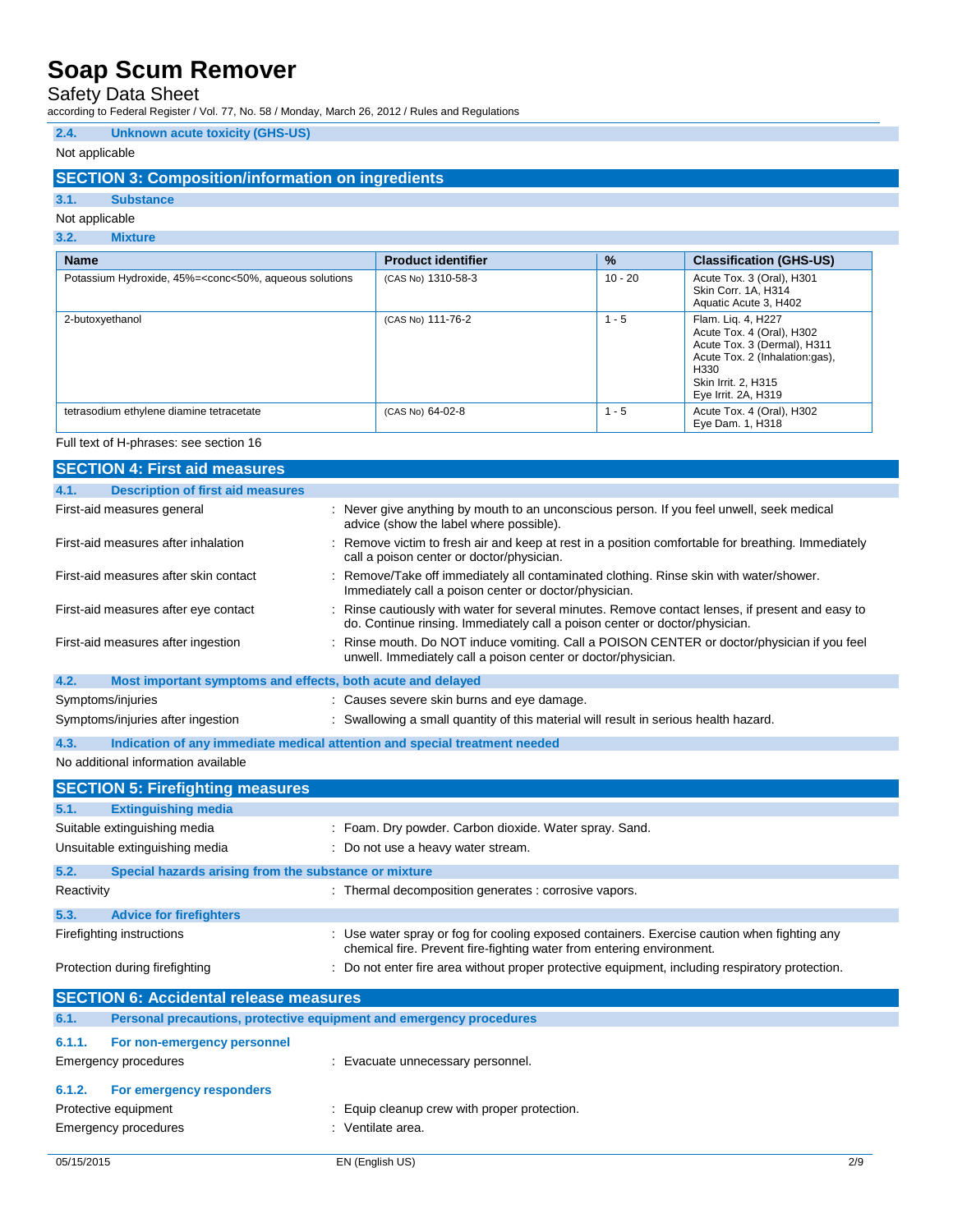## Safety Data Sheet

according to Federal Register / Vol. 77, No. 58 / Monday, March 26, 2012 / Rules and Regulations

### **2.4. Unknown acute toxicity (GHS-US)**

### Not applicable

### **SECTION 3: Composition/information on ingredients**

# **3.1. Substance**

## Not applicable

## **3.2. Mixture**

| <b>Name</b>                                                                                                                                                                                                                  | <b>Product identifier</b> | $\%$      | <b>Classification (GHS-US)</b>                                                                                                                                         |
|------------------------------------------------------------------------------------------------------------------------------------------------------------------------------------------------------------------------------|---------------------------|-----------|------------------------------------------------------------------------------------------------------------------------------------------------------------------------|
| Potassium Hydroxide, 45%= <conc<50%, aqueous="" solutions<="" td=""><td>(CAS No) 1310-58-3</td><td><math>10 - 20</math></td><td>Acute Tox. 3 (Oral), H301<br/>Skin Corr. 1A, H314<br/>Aquatic Acute 3, H402</td></conc<50%,> | (CAS No) 1310-58-3        | $10 - 20$ | Acute Tox. 3 (Oral), H301<br>Skin Corr. 1A, H314<br>Aquatic Acute 3, H402                                                                                              |
| 2-butoxyethanol                                                                                                                                                                                                              | (CAS No) 111-76-2         | $1 - 5$   | Flam. Liq. 4, H227<br>Acute Tox. 4 (Oral), H302<br>Acute Tox. 3 (Dermal), H311<br>Acute Tox. 2 (Inhalation:gas),<br>H330<br>Skin Irrit. 2, H315<br>Eye Irrit. 2A, H319 |
| tetrasodium ethylene diamine tetracetate                                                                                                                                                                                     | (CAS No) 64-02-8          | $1 - 5$   | Acute Tox. 4 (Oral), H302<br>Eye Dam. 1, H318                                                                                                                          |

#### Full text of H-phrases: see section 16

|                   | <b>SECTION 4: First aid measures</b>                                       |                                                                                                                                                                                 |
|-------------------|----------------------------------------------------------------------------|---------------------------------------------------------------------------------------------------------------------------------------------------------------------------------|
| 4.1.              | <b>Description of first aid measures</b>                                   |                                                                                                                                                                                 |
|                   | First-aid measures general                                                 | : Never give anything by mouth to an unconscious person. If you feel unwell, seek medical<br>advice (show the label where possible).                                            |
|                   | First-aid measures after inhalation                                        | : Remove victim to fresh air and keep at rest in a position comfortable for breathing. Immediately<br>call a poison center or doctor/physician.                                 |
|                   | First-aid measures after skin contact                                      | Remove/Take off immediately all contaminated clothing. Rinse skin with water/shower.<br>Immediately call a poison center or doctor/physician.                                   |
|                   | First-aid measures after eye contact                                       | : Rinse cautiously with water for several minutes. Remove contact lenses, if present and easy to<br>do. Continue rinsing. Immediately call a poison center or doctor/physician. |
|                   | First-aid measures after ingestion                                         | Rinse mouth. Do NOT induce vomiting. Call a POISON CENTER or doctor/physician if you feel<br>unwell. Immediately call a poison center or doctor/physician.                      |
| 4.2.              | Most important symptoms and effects, both acute and delayed                |                                                                                                                                                                                 |
| Symptoms/injuries |                                                                            | : Causes severe skin burns and eye damage.                                                                                                                                      |
|                   | Symptoms/injuries after ingestion                                          | : Swallowing a small quantity of this material will result in serious health hazard.                                                                                            |
| 4.3.              | Indication of any immediate medical attention and special treatment needed |                                                                                                                                                                                 |
|                   | No additional information available                                        |                                                                                                                                                                                 |
|                   | <b>SECTION 5: Firefighting measures</b>                                    |                                                                                                                                                                                 |
| 5.1.              | <b>Extinguishing media</b>                                                 |                                                                                                                                                                                 |
|                   | Suitable extinguishing media                                               | : Foam. Dry powder. Carbon dioxide. Water spray. Sand.                                                                                                                          |
|                   | Unsuitable extinguishing media                                             | : Do not use a heavy water stream.                                                                                                                                              |
| 5.2.              | Special hazards arising from the substance or mixture                      |                                                                                                                                                                                 |
| Reactivity        |                                                                            | : Thermal decomposition generates : corrosive vapors.                                                                                                                           |
| 5.3.              | <b>Advice for firefighters</b>                                             |                                                                                                                                                                                 |
|                   | Firefighting instructions                                                  | : Use water spray or fog for cooling exposed containers. Exercise caution when fighting any<br>chemical fire. Prevent fire-fighting water from entering environment.            |
|                   | Protection during firefighting                                             | : Do not enter fire area without proper protective equipment, including respiratory protection.                                                                                 |
|                   | <b>SECTION 6: Accidental release measures</b>                              |                                                                                                                                                                                 |
| 6.1.              | Personal precautions, protective equipment and emergency procedures        |                                                                                                                                                                                 |
| 6.1.1.            | For non-emergency personnel                                                |                                                                                                                                                                                 |
|                   | <b>Emergency procedures</b>                                                | : Evacuate unnecessary personnel.                                                                                                                                               |
| 6.1.2.            | For emergency responders                                                   |                                                                                                                                                                                 |
|                   | Protective equipment                                                       | : Equip cleanup crew with proper protection.                                                                                                                                    |
|                   | <b>Emergency procedures</b>                                                | : Ventilate area.                                                                                                                                                               |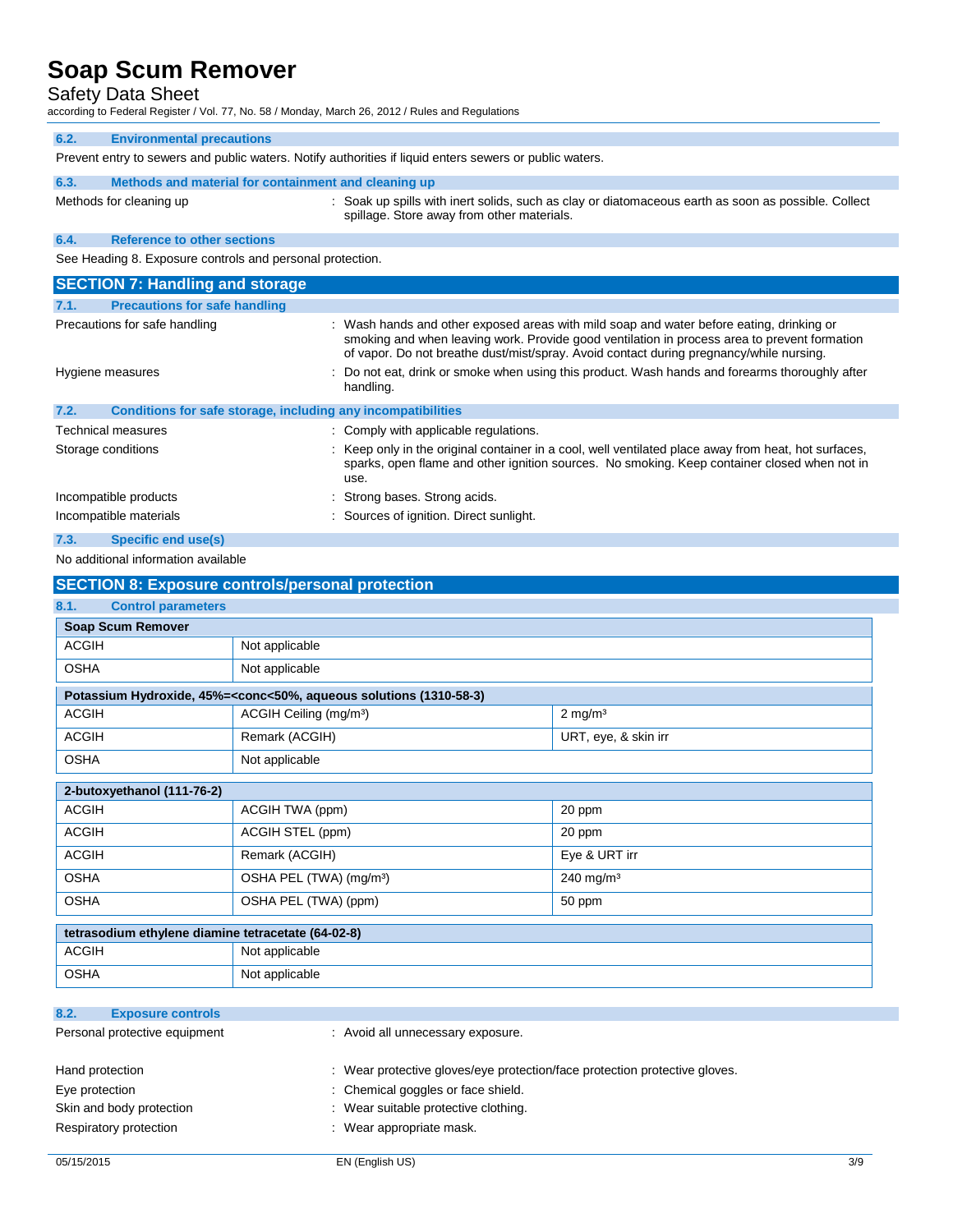## Safety Data Sheet

| Uaiuty Data Unuut<br>according to Federal Register / Vol. 77, No. 58 / Monday, March 26, 2012 / Rules and Regulations |                                                              |                                                                                                                                                                                                                                                                                     |
|-----------------------------------------------------------------------------------------------------------------------|--------------------------------------------------------------|-------------------------------------------------------------------------------------------------------------------------------------------------------------------------------------------------------------------------------------------------------------------------------------|
| 6.2.                                                                                                                  | <b>Environmental precautions</b>                             |                                                                                                                                                                                                                                                                                     |
|                                                                                                                       |                                                              | Prevent entry to sewers and public waters. Notify authorities if liquid enters sewers or public waters.                                                                                                                                                                             |
| 6.3.                                                                                                                  | Methods and material for containment and cleaning up         |                                                                                                                                                                                                                                                                                     |
|                                                                                                                       | Methods for cleaning up                                      | : Soak up spills with inert solids, such as clay or diatomaceous earth as soon as possible. Collect<br>spillage. Store away from other materials.                                                                                                                                   |
| 6.4.                                                                                                                  | <b>Reference to other sections</b>                           |                                                                                                                                                                                                                                                                                     |
| See Heading 8. Exposure controls and personal protection.                                                             |                                                              |                                                                                                                                                                                                                                                                                     |
|                                                                                                                       | <b>SECTION 7: Handling and storage</b>                       |                                                                                                                                                                                                                                                                                     |
| 7.1.                                                                                                                  | <b>Precautions for safe handling</b>                         |                                                                                                                                                                                                                                                                                     |
|                                                                                                                       | Precautions for safe handling                                | : Wash hands and other exposed areas with mild soap and water before eating, drinking or<br>smoking and when leaving work. Provide good ventilation in process area to prevent formation<br>of vapor. Do not breathe dust/mist/spray. Avoid contact during pregnancy/while nursing. |
|                                                                                                                       | Hygiene measures                                             | : Do not eat, drink or smoke when using this product. Wash hands and forearms thoroughly after<br>handling.                                                                                                                                                                         |
| 7.2.                                                                                                                  | Conditions for safe storage, including any incompatibilities |                                                                                                                                                                                                                                                                                     |
|                                                                                                                       | Technical measures                                           | : Comply with applicable regulations.                                                                                                                                                                                                                                               |
|                                                                                                                       | Storage conditions                                           | Keep only in the original container in a cool, well ventilated place away from heat, hot surfaces,<br>sparks, open flame and other ignition sources. No smoking. Keep container closed when not in<br>use.                                                                          |
|                                                                                                                       |                                                              |                                                                                                                                                                                                                                                                                     |
|                                                                                                                       | Incompatible products                                        | : Strong bases. Strong acids.                                                                                                                                                                                                                                                       |

# **7.3. Specific end use(s)**

## No additional information available

| <b>SECTION 8: Exposure controls/personal protection</b> |                                                                                                          |                       |
|---------------------------------------------------------|----------------------------------------------------------------------------------------------------------|-----------------------|
| 8.1.<br><b>Control parameters</b>                       |                                                                                                          |                       |
| <b>Soap Scum Remover</b>                                |                                                                                                          |                       |
| <b>ACGIH</b>                                            | Not applicable                                                                                           |                       |
| <b>OSHA</b>                                             | Not applicable                                                                                           |                       |
|                                                         | Potassium Hydroxide, 45%= <conc<50%, (1310-58-3)<="" aqueous="" solutions="" td=""><td></td></conc<50%,> |                       |
| <b>ACGIH</b>                                            | ACGIH Ceiling (mg/m <sup>3</sup> )                                                                       | $2$ mg/m <sup>3</sup> |
| <b>ACGIH</b>                                            | Remark (ACGIH)                                                                                           | URT, eye, & skin irr  |
| <b>OSHA</b>                                             | Not applicable                                                                                           |                       |
| 2-butoxyethanol (111-76-2)                              |                                                                                                          |                       |
| <b>ACGIH</b>                                            | ACGIH TWA (ppm)                                                                                          | 20 ppm                |
| <b>ACGIH</b>                                            | ACGIH STEL (ppm)                                                                                         | 20 ppm                |
| <b>ACGIH</b>                                            | Remark (ACGIH)                                                                                           | Eye & URT irr         |
| <b>OSHA</b>                                             | OSHA PEL (TWA) (mg/m <sup>3</sup> )                                                                      | 240 mg/m <sup>3</sup> |
| <b>OSHA</b>                                             | OSHA PEL (TWA) (ppm)                                                                                     | 50 ppm                |
| tetrasodium ethylene diamine tetracetate (64-02-8)      |                                                                                                          |                       |
| <b>ACGIH</b>                                            | Not applicable                                                                                           |                       |
| <b>OSHA</b>                                             | Not applicable                                                                                           |                       |
|                                                         |                                                                                                          |                       |
| 8.2.<br><b>Exposure controls</b>                        |                                                                                                          |                       |
| Personal protective equipment                           | : Avoid all unnecessary exposure.                                                                        |                       |

| Hand protection          | : Wear protective gloves/eye protection/face protection protective gloves. |
|--------------------------|----------------------------------------------------------------------------|
| Eye protection           | : Chemical goggles or face shield.                                         |
| Skin and body protection | : Wear suitable protective clothing.                                       |
| Respiratory protection   | : Wear appropriate mask.                                                   |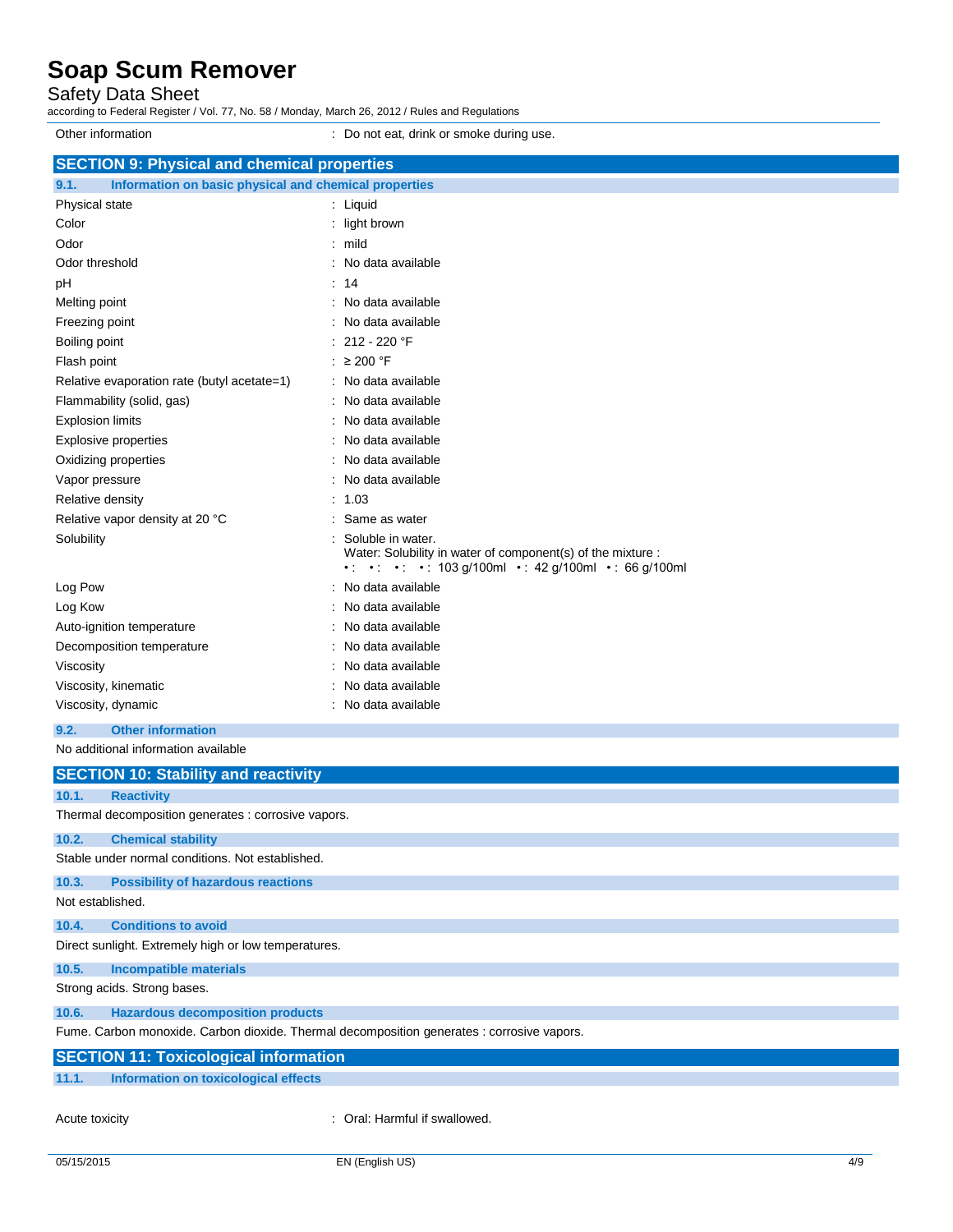Safety Data Sheet

according to Federal Register / Vol. 77, No. 58 / Monday, March 26, 2012 / Rules and Regulations

Other information **Other information** : Do not eat, drink or smoke during use. **SECTION 9: Physical and chemical properties 9.1. Information on basic physical and chemical properties** Physical state in the state of the state of the state in the state of the state of the state in the state of the state of the state of the state of the state of the state of the state of the state of the state of the state Color **Color Color Color Color Color Color Color Color Color Color Color Color Color Color Color Color Color Color Color Color Color Color Color Color Color Color Color** Odor : mild Odor threshold **in the set of the set of the set of the set of the set of the set of the set of the set of the set of the set of the set of the set of the set of the set of the set of the set of the set of the set of the s** pH : 14 Melting point **in the case of the case of the case of the case of the case of the case of the case of the case of the case of the case of the case of the case of the case of the case of the case of the case of the case of** Freezing point **in the case of the Contract Contract Contract Contract Contract Contract Contract Contract Contract Contract Contract Contract Contract Contract Contract Contract Contract Contract Contract Contract Contrac** Boiling point : 212 - 220 °F Flash point : ≥ 200 °F Relative evaporation rate (butyl acetate=1) : No data available Flammability (solid, gas) **in the set of the set of the set of the set of the set of the set of the set of the set of the set of the set of the set of the set of the set of the set of the set of the set of the set of the s** Explosion limits **Explosion** limits **Explosion** limits **Explosion** in the set of  $\mathbb{R}$  and  $\mathbb{R}$  and  $\mathbb{R}$  are set of  $\mathbb{R}$  and  $\mathbb{R}$  are set of  $\mathbb{R}$  and  $\mathbb{R}$  are set of  $\mathbb{R}$  and  $\mathbb{R}$  are set Explosive properties **in the set of the set of the set of the set of the set of the set of the set of the set of the set of the set of the set of the set of the set of the set of the set of the set of the set of the set of** Oxidizing properties **in the contract of the Contract Contract Contract Contract Contract Contract Contract Contract Contract Contract Contract Contract Contract Contract Contract Contract Contract Contract Contract Contra** Vapor pressure in the set of the set of the set of the Vapor pressure in the Vapor pressure Relative density in the set of the set of the set of the set of the set of the set of the set of the set of the set of the set of the set of the set of the set of the set of the set of the set of the set of the set of the Relative vapor density at 20 °C : Same as water Solubility : Soluble in water. Water: Solubility in water of component(s) of the mixture : •  $\cdot$  •  $\cdot$  •  $\cdot$  103 g/100ml • : 42 g/100ml • : 66 g/100ml Log Pow : No data available Log Kow **: No data available** Auto-ignition temperature **interest and the Contract Auto-ignition** temperature intervals and the North Auto-ignition Decomposition temperature : No data available Viscosity : No data available Viscosity, kinematic **intervalse in the Contract Contract Contract Contract Contract Contract Contract Contract Contract Contract Contract Contract Contract Contract Contract Contract Contract Contract Contract Contract Co** Viscosity, dynamic **intervalse in the Contract of Contract Available** : No data available **9.2. Other information** No additional information available

|                  | <b>SECTION 10: Stability and reactivity</b>                                                |
|------------------|--------------------------------------------------------------------------------------------|
| 10.1.            | <b>Reactivity</b>                                                                          |
|                  | Thermal decomposition generates : corrosive vapors.                                        |
| 10.2.            | <b>Chemical stability</b>                                                                  |
|                  | Stable under normal conditions. Not established.                                           |
| 10.3.            | <b>Possibility of hazardous reactions</b>                                                  |
| Not established. |                                                                                            |
| 10.4.            | <b>Conditions to avoid</b>                                                                 |
|                  | Direct sunlight. Extremely high or low temperatures.                                       |
| 10.5.            | <b>Incompatible materials</b>                                                              |
|                  | Strong acids. Strong bases.                                                                |
| 10.6.            | <b>Hazardous decomposition products</b>                                                    |
|                  | Fume. Carbon monoxide. Carbon dioxide. Thermal decomposition generates : corrosive vapors. |
|                  | <b>SECTION 11: Toxicological information</b>                                               |
| 11.1.            | Information on toxicological effects                                                       |

Acute toxicity **in the same of the Caucase** of Cral: Harmful if swallowed.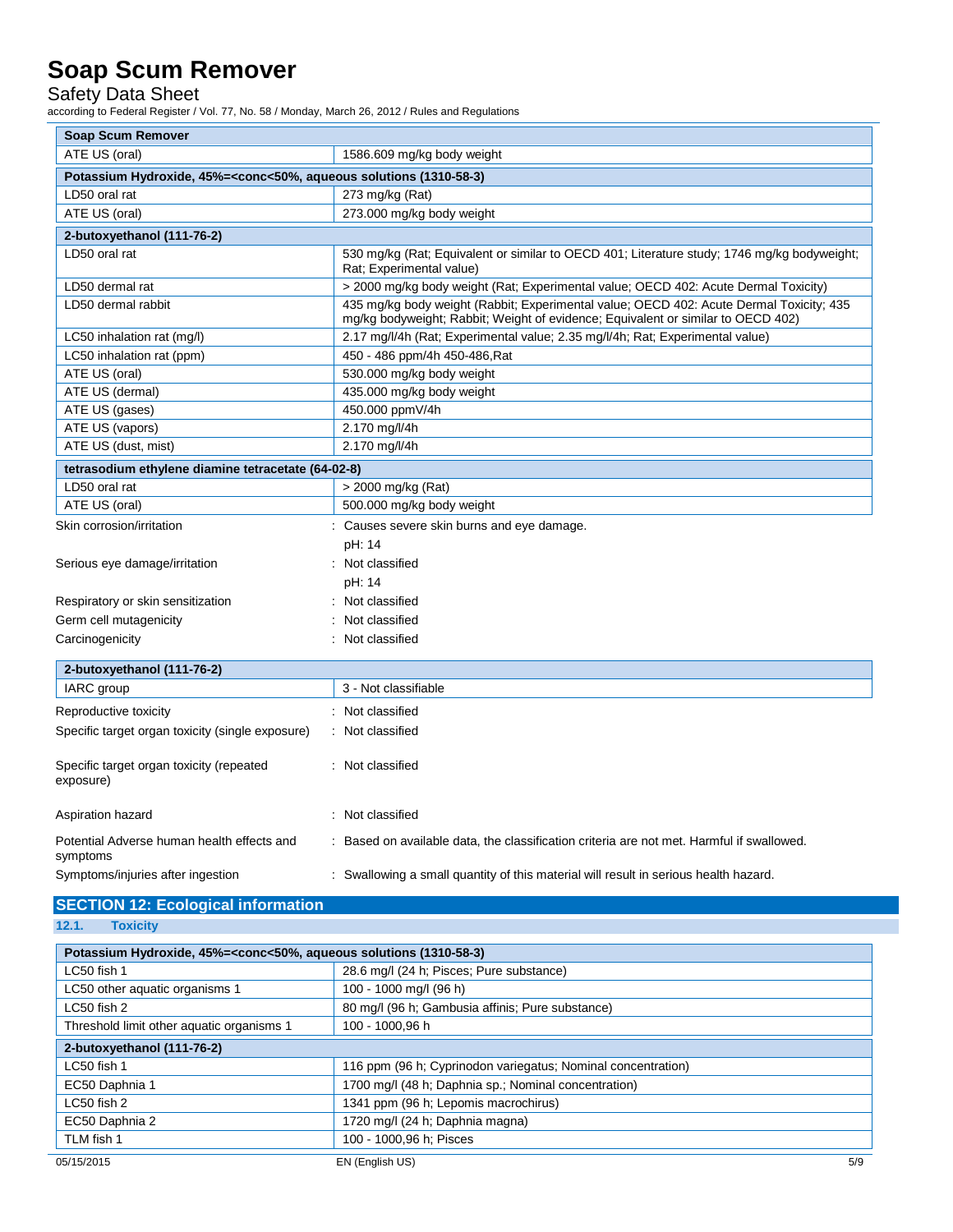Safety Data Sheet

according to Federal Register / Vol. 77, No. 58 / Monday, March 26, 2012 / Rules and Regulations

| <b>Soap Scum Remover</b>                                                                        |                                                                                                                                                                             |  |
|-------------------------------------------------------------------------------------------------|-----------------------------------------------------------------------------------------------------------------------------------------------------------------------------|--|
| ATE US (oral)                                                                                   | 1586.609 mg/kg body weight                                                                                                                                                  |  |
| Potassium Hydroxide, 45%= <conc<50%, (1310-58-3)<="" aqueous="" solutions="" td=""></conc<50%,> |                                                                                                                                                                             |  |
| LD50 oral rat                                                                                   | 273 mg/kg (Rat)                                                                                                                                                             |  |
| ATE US (oral)                                                                                   | 273.000 mg/kg body weight                                                                                                                                                   |  |
| 2-butoxyethanol (111-76-2)                                                                      |                                                                                                                                                                             |  |
| LD50 oral rat                                                                                   | 530 mg/kg (Rat; Equivalent or similar to OECD 401; Literature study; 1746 mg/kg bodyweight;<br>Rat; Experimental value)                                                     |  |
| LD50 dermal rat                                                                                 | > 2000 mg/kg body weight (Rat; Experimental value; OECD 402: Acute Dermal Toxicity)                                                                                         |  |
| LD50 dermal rabbit                                                                              | 435 mg/kg body weight (Rabbit; Experimental value; OECD 402: Acute Dermal Toxicity; 435<br>mg/kg bodyweight; Rabbit; Weight of evidence; Equivalent or similar to OECD 402) |  |
| LC50 inhalation rat (mg/l)                                                                      | 2.17 mg/l/4h (Rat; Experimental value; 2.35 mg/l/4h; Rat; Experimental value)                                                                                               |  |
| LC50 inhalation rat (ppm)                                                                       | 450 - 486 ppm/4h 450-486, Rat                                                                                                                                               |  |
| ATE US (oral)                                                                                   | 530.000 mg/kg body weight                                                                                                                                                   |  |
| ATE US (dermal)                                                                                 | 435.000 mg/kg body weight                                                                                                                                                   |  |
| ATE US (gases)                                                                                  | 450.000 ppmV/4h                                                                                                                                                             |  |
| ATE US (vapors)                                                                                 | 2.170 mg/l/4h                                                                                                                                                               |  |
| ATE US (dust, mist)                                                                             | 2.170 mg/l/4h                                                                                                                                                               |  |
| tetrasodium ethylene diamine tetracetate (64-02-8)                                              |                                                                                                                                                                             |  |
| LD50 oral rat                                                                                   | > 2000 mg/kg (Rat)                                                                                                                                                          |  |
| ATE US (oral)                                                                                   | 500.000 mg/kg body weight                                                                                                                                                   |  |
| Skin corrosion/irritation                                                                       | : Causes severe skin burns and eye damage.                                                                                                                                  |  |
|                                                                                                 | pH: 14                                                                                                                                                                      |  |
| Serious eye damage/irritation                                                                   | : Not classified                                                                                                                                                            |  |
|                                                                                                 | pH: 14                                                                                                                                                                      |  |
| Respiratory or skin sensitization                                                               | Not classified                                                                                                                                                              |  |
| Germ cell mutagenicity                                                                          | Not classified                                                                                                                                                              |  |
| Carcinogenicity                                                                                 | : Not classified                                                                                                                                                            |  |
| 2-butoxyethanol (111-76-2)                                                                      |                                                                                                                                                                             |  |
| IARC group                                                                                      | 3 - Not classifiable                                                                                                                                                        |  |
|                                                                                                 |                                                                                                                                                                             |  |
| Reproductive toxicity                                                                           | : Not classified                                                                                                                                                            |  |
| Specific target organ toxicity (single exposure)                                                | : Not classified                                                                                                                                                            |  |
| Specific target organ toxicity (repeated<br>exposure)                                           | : Not classified                                                                                                                                                            |  |
| Aspiration hazard                                                                               | : Not classified                                                                                                                                                            |  |
| Potential Adverse human health effects and<br>symptoms                                          | : Based on available data, the classification criteria are not met. Harmful if swallowed.                                                                                   |  |
| Symptoms/injuries after ingestion                                                               | : Swallowing a small quantity of this material will result in serious health hazard.                                                                                        |  |
| <b>SECTION 12: Ecological information</b>                                                       |                                                                                                                                                                             |  |

### **12.1. Toxicity**

| Potassium Hydroxide, 45%= <conc<50%, (1310-58-3)<="" aqueous="" solutions="" th=""></conc<50%,> |                                                              |  |
|-------------------------------------------------------------------------------------------------|--------------------------------------------------------------|--|
| LC50 fish 1                                                                                     | 28.6 mg/l (24 h; Pisces; Pure substance)                     |  |
| LC50 other aquatic organisms 1                                                                  | 100 - 1000 mg/l (96 h)                                       |  |
| LC50 fish 2                                                                                     | 80 mg/l (96 h; Gambusia affinis; Pure substance)             |  |
| Threshold limit other aquatic organisms 1                                                       | 100 - 1000.96 h                                              |  |
| 2-butoxyethanol (111-76-2)                                                                      |                                                              |  |
| LC50 fish 1                                                                                     | 116 ppm (96 h; Cyprinodon variegatus; Nominal concentration) |  |
| EC50 Daphnia 1                                                                                  | 1700 mg/l (48 h; Daphnia sp.; Nominal concentration)         |  |
| LC50 fish 2                                                                                     | 1341 ppm (96 h; Lepomis macrochirus)                         |  |
| EC50 Daphnia 2                                                                                  | 1720 mg/l (24 h; Daphnia magna)                              |  |
| TLM fish 1                                                                                      | 100 - 1000,96 h; Pisces                                      |  |
| 05/15/2015                                                                                      | EN (English US)<br>5/9                                       |  |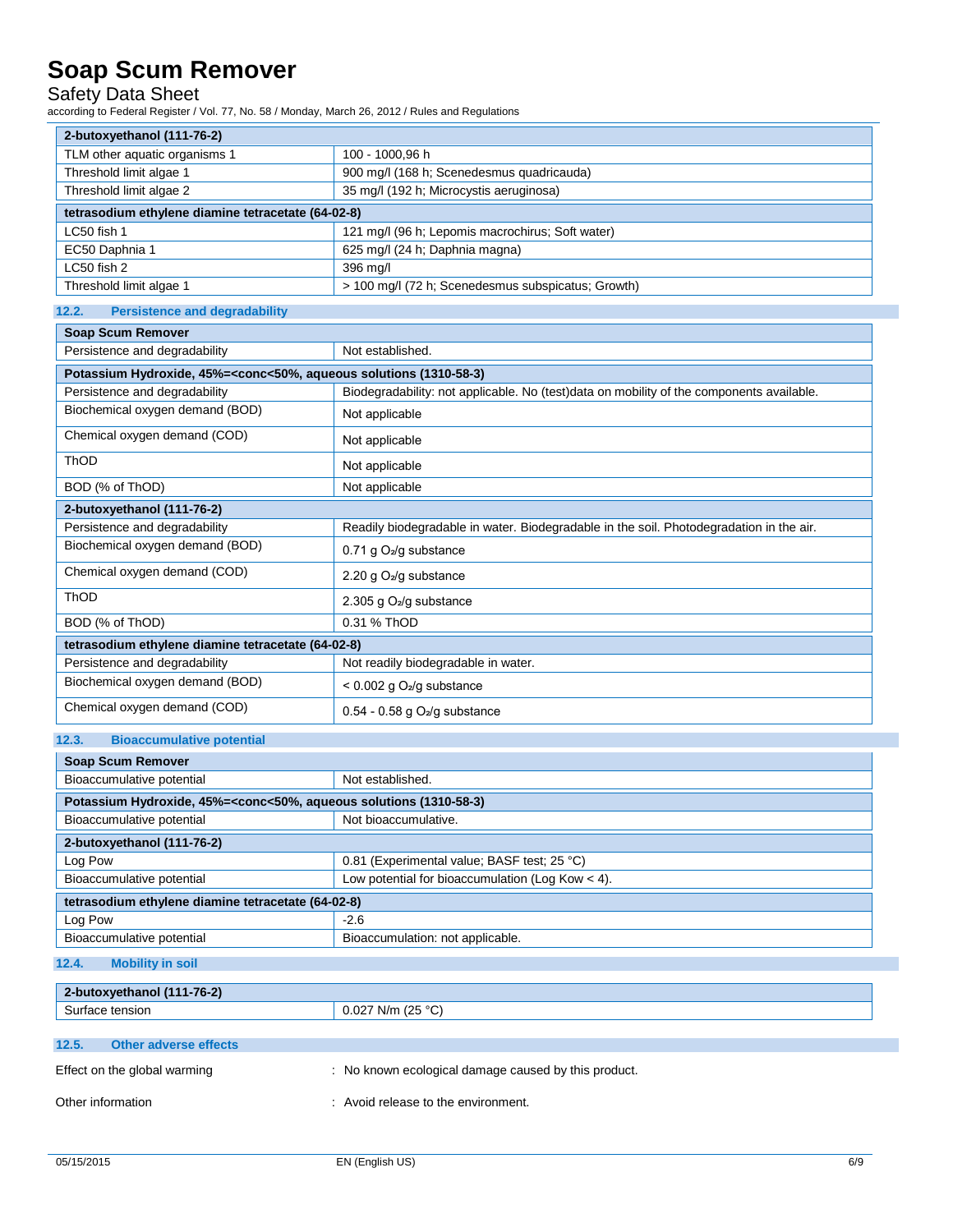## Safety Data Sheet

according to Federal Register / Vol. 77, No. 58 / Monday, March 26, 2012 / Rules and Regulations

| 2-butoxyethanol (111-76-2)                         |                                                    |  |
|----------------------------------------------------|----------------------------------------------------|--|
| TLM other aquatic organisms 1                      | 100 - 1000,96 h                                    |  |
| Threshold limit algae 1                            | 900 mg/l (168 h; Scenedesmus quadricauda)          |  |
| Threshold limit algae 2                            | 35 mg/l (192 h; Microcystis aeruginosa)            |  |
| tetrasodium ethylene diamine tetracetate (64-02-8) |                                                    |  |
| LC50 fish 1                                        | 121 mg/l (96 h; Lepomis macrochirus; Soft water)   |  |
| EC50 Daphnia 1                                     | 625 mg/l (24 h; Daphnia magna)                     |  |
| LC50 fish 2                                        | 396 mg/l                                           |  |
| Threshold limit algae 1                            | > 100 mg/l (72 h; Scenedesmus subspicatus; Growth) |  |
| 12.2.<br><b>Persistence and degradability</b>      |                                                    |  |

| <b>Soap Scum Remover</b>                                                                                 |                                                                                           |  |
|----------------------------------------------------------------------------------------------------------|-------------------------------------------------------------------------------------------|--|
| Persistence and degradability                                                                            | Not established.                                                                          |  |
| Potassium Hydroxide, 45%= <conc<50%, (1310-58-3)<="" aqueous="" solutions="" th=""><th></th></conc<50%,> |                                                                                           |  |
| Persistence and degradability                                                                            | Biodegradability: not applicable. No (test) data on mobility of the components available. |  |
| Biochemical oxygen demand (BOD)                                                                          | Not applicable                                                                            |  |
| Chemical oxygen demand (COD)                                                                             | Not applicable                                                                            |  |
| ThOD                                                                                                     | Not applicable                                                                            |  |
| BOD (% of ThOD)                                                                                          | Not applicable                                                                            |  |
| 2-butoxyethanol (111-76-2)                                                                               |                                                                                           |  |
| Persistence and degradability                                                                            | Readily biodegradable in water. Biodegradable in the soil. Photodegradation in the air.   |  |
| Biochemical oxygen demand (BOD)                                                                          | 0.71 g $O_2$ /g substance                                                                 |  |
| Chemical oxygen demand (COD)                                                                             | 2.20 g $O_2$ /g substance                                                                 |  |
| ThOD                                                                                                     | 2.305 g $O2/g$ substance                                                                  |  |
| BOD (% of ThOD)                                                                                          | 0.31 % ThOD                                                                               |  |
| tetrasodium ethylene diamine tetracetate (64-02-8)                                                       |                                                                                           |  |
| Persistence and degradability                                                                            | Not readily biodegradable in water.                                                       |  |
| Biochemical oxygen demand (BOD)                                                                          | $< 0.002$ g O <sub>2</sub> /g substance                                                   |  |
| Chemical oxygen demand (COD)                                                                             | $0.54 - 0.58$ g O <sub>2</sub> /g substance                                               |  |
|                                                                                                          |                                                                                           |  |

## **12.3. Bioaccumulative potential**

| <b>Soap Scum Remover</b>                                                                        |                                                    |  |
|-------------------------------------------------------------------------------------------------|----------------------------------------------------|--|
| Bioaccumulative potential                                                                       | Not established.                                   |  |
| Potassium Hydroxide, 45%= <conc<50%, (1310-58-3)<="" aqueous="" solutions="" th=""></conc<50%,> |                                                    |  |
| Bioaccumulative potential                                                                       | Not bioaccumulative.                               |  |
| 2-butoxyethanol (111-76-2)                                                                      |                                                    |  |
| Log Pow                                                                                         | 0.81 (Experimental value; BASF test; 25 °C)        |  |
| Bioaccumulative potential                                                                       | Low potential for bioaccumulation (Log Kow $<$ 4). |  |
| tetrasodium ethylene diamine tetracetate (64-02-8)                                              |                                                    |  |
| Log Pow                                                                                         | $-2.6$                                             |  |
| Bioaccumulative potential                                                                       | Bioaccumulation: not applicable.                   |  |

### **12.4. Mobility in soil**

| 2-butoxyethanol (111-76-2)     |                                                      |
|--------------------------------|------------------------------------------------------|
| Surface tension                | $0.027$ N/m (25 °C)                                  |
|                                |                                                      |
| 12.5.<br>Other adverse effects |                                                      |
| Effect on the global warming   | : No known ecological damage caused by this product. |

Other information  $\qquad \qquad :$  Avoid release to the environment.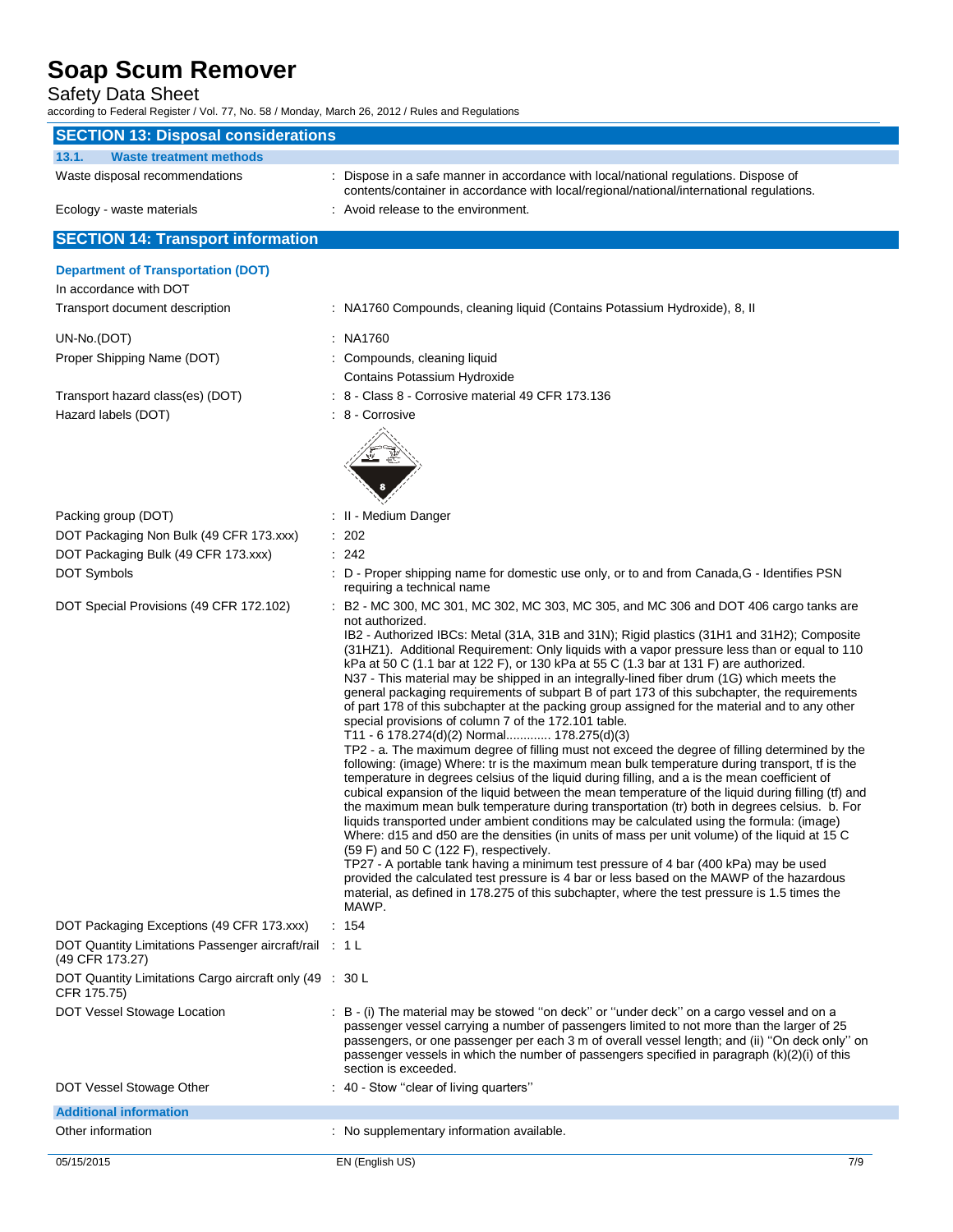## Safety Data Sheet

according to Federal Register / Vol. 77, No. 58 / Monday, March 26, 2012 / Rules and Regulations

| <b>SECTION 13: Disposal considerations</b>                                |                                                                                                                                                                                                                                                                                                                                                                                                                                                                                                                                                                                                                                                                                                                                                                                                                                                                                                                                                                                                                                                                                                                                                                                                                                                                                                                                                                                                                                                                                                                                                                                                                                                                                                                                                              |
|---------------------------------------------------------------------------|--------------------------------------------------------------------------------------------------------------------------------------------------------------------------------------------------------------------------------------------------------------------------------------------------------------------------------------------------------------------------------------------------------------------------------------------------------------------------------------------------------------------------------------------------------------------------------------------------------------------------------------------------------------------------------------------------------------------------------------------------------------------------------------------------------------------------------------------------------------------------------------------------------------------------------------------------------------------------------------------------------------------------------------------------------------------------------------------------------------------------------------------------------------------------------------------------------------------------------------------------------------------------------------------------------------------------------------------------------------------------------------------------------------------------------------------------------------------------------------------------------------------------------------------------------------------------------------------------------------------------------------------------------------------------------------------------------------------------------------------------------------|
| 13.1.<br><b>Waste treatment methods</b>                                   |                                                                                                                                                                                                                                                                                                                                                                                                                                                                                                                                                                                                                                                                                                                                                                                                                                                                                                                                                                                                                                                                                                                                                                                                                                                                                                                                                                                                                                                                                                                                                                                                                                                                                                                                                              |
| Waste disposal recommendations                                            | : Dispose in a safe manner in accordance with local/national regulations. Dispose of<br>contents/container in accordance with local/regional/national/international regulations.                                                                                                                                                                                                                                                                                                                                                                                                                                                                                                                                                                                                                                                                                                                                                                                                                                                                                                                                                                                                                                                                                                                                                                                                                                                                                                                                                                                                                                                                                                                                                                             |
| Ecology - waste materials                                                 | : Avoid release to the environment.                                                                                                                                                                                                                                                                                                                                                                                                                                                                                                                                                                                                                                                                                                                                                                                                                                                                                                                                                                                                                                                                                                                                                                                                                                                                                                                                                                                                                                                                                                                                                                                                                                                                                                                          |
| <b>SECTION 14: Transport information</b>                                  |                                                                                                                                                                                                                                                                                                                                                                                                                                                                                                                                                                                                                                                                                                                                                                                                                                                                                                                                                                                                                                                                                                                                                                                                                                                                                                                                                                                                                                                                                                                                                                                                                                                                                                                                                              |
| <b>Department of Transportation (DOT)</b>                                 |                                                                                                                                                                                                                                                                                                                                                                                                                                                                                                                                                                                                                                                                                                                                                                                                                                                                                                                                                                                                                                                                                                                                                                                                                                                                                                                                                                                                                                                                                                                                                                                                                                                                                                                                                              |
| In accordance with DOT                                                    |                                                                                                                                                                                                                                                                                                                                                                                                                                                                                                                                                                                                                                                                                                                                                                                                                                                                                                                                                                                                                                                                                                                                                                                                                                                                                                                                                                                                                                                                                                                                                                                                                                                                                                                                                              |
| Transport document description                                            | : NA1760 Compounds, cleaning liquid (Contains Potassium Hydroxide), 8, II                                                                                                                                                                                                                                                                                                                                                                                                                                                                                                                                                                                                                                                                                                                                                                                                                                                                                                                                                                                                                                                                                                                                                                                                                                                                                                                                                                                                                                                                                                                                                                                                                                                                                    |
| UN-No.(DOT)                                                               | : NA1760                                                                                                                                                                                                                                                                                                                                                                                                                                                                                                                                                                                                                                                                                                                                                                                                                                                                                                                                                                                                                                                                                                                                                                                                                                                                                                                                                                                                                                                                                                                                                                                                                                                                                                                                                     |
| Proper Shipping Name (DOT)                                                | : Compounds, cleaning liquid                                                                                                                                                                                                                                                                                                                                                                                                                                                                                                                                                                                                                                                                                                                                                                                                                                                                                                                                                                                                                                                                                                                                                                                                                                                                                                                                                                                                                                                                                                                                                                                                                                                                                                                                 |
|                                                                           | Contains Potassium Hydroxide                                                                                                                                                                                                                                                                                                                                                                                                                                                                                                                                                                                                                                                                                                                                                                                                                                                                                                                                                                                                                                                                                                                                                                                                                                                                                                                                                                                                                                                                                                                                                                                                                                                                                                                                 |
| Transport hazard class(es) (DOT)                                          | : 8 - Class 8 - Corrosive material 49 CFR 173.136                                                                                                                                                                                                                                                                                                                                                                                                                                                                                                                                                                                                                                                                                                                                                                                                                                                                                                                                                                                                                                                                                                                                                                                                                                                                                                                                                                                                                                                                                                                                                                                                                                                                                                            |
| Hazard labels (DOT)                                                       | : 8 - Corrosive                                                                                                                                                                                                                                                                                                                                                                                                                                                                                                                                                                                                                                                                                                                                                                                                                                                                                                                                                                                                                                                                                                                                                                                                                                                                                                                                                                                                                                                                                                                                                                                                                                                                                                                                              |
|                                                                           |                                                                                                                                                                                                                                                                                                                                                                                                                                                                                                                                                                                                                                                                                                                                                                                                                                                                                                                                                                                                                                                                                                                                                                                                                                                                                                                                                                                                                                                                                                                                                                                                                                                                                                                                                              |
|                                                                           |                                                                                                                                                                                                                                                                                                                                                                                                                                                                                                                                                                                                                                                                                                                                                                                                                                                                                                                                                                                                                                                                                                                                                                                                                                                                                                                                                                                                                                                                                                                                                                                                                                                                                                                                                              |
|                                                                           |                                                                                                                                                                                                                                                                                                                                                                                                                                                                                                                                                                                                                                                                                                                                                                                                                                                                                                                                                                                                                                                                                                                                                                                                                                                                                                                                                                                                                                                                                                                                                                                                                                                                                                                                                              |
|                                                                           |                                                                                                                                                                                                                                                                                                                                                                                                                                                                                                                                                                                                                                                                                                                                                                                                                                                                                                                                                                                                                                                                                                                                                                                                                                                                                                                                                                                                                                                                                                                                                                                                                                                                                                                                                              |
| Packing group (DOT)                                                       | : II - Medium Danger                                                                                                                                                                                                                                                                                                                                                                                                                                                                                                                                                                                                                                                                                                                                                                                                                                                                                                                                                                                                                                                                                                                                                                                                                                                                                                                                                                                                                                                                                                                                                                                                                                                                                                                                         |
| DOT Packaging Non Bulk (49 CFR 173.xxx)                                   | : 202                                                                                                                                                                                                                                                                                                                                                                                                                                                                                                                                                                                                                                                                                                                                                                                                                                                                                                                                                                                                                                                                                                                                                                                                                                                                                                                                                                                                                                                                                                                                                                                                                                                                                                                                                        |
| DOT Packaging Bulk (49 CFR 173.xxx)                                       | : 242                                                                                                                                                                                                                                                                                                                                                                                                                                                                                                                                                                                                                                                                                                                                                                                                                                                                                                                                                                                                                                                                                                                                                                                                                                                                                                                                                                                                                                                                                                                                                                                                                                                                                                                                                        |
| DOT Symbols                                                               | : D - Proper shipping name for domestic use only, or to and from Canada, G - Identifies PSN<br>requiring a technical name                                                                                                                                                                                                                                                                                                                                                                                                                                                                                                                                                                                                                                                                                                                                                                                                                                                                                                                                                                                                                                                                                                                                                                                                                                                                                                                                                                                                                                                                                                                                                                                                                                    |
| DOT Special Provisions (49 CFR 172.102)                                   | : B2 - MC 300, MC 301, MC 302, MC 303, MC 305, and MC 306 and DOT 406 cargo tanks are                                                                                                                                                                                                                                                                                                                                                                                                                                                                                                                                                                                                                                                                                                                                                                                                                                                                                                                                                                                                                                                                                                                                                                                                                                                                                                                                                                                                                                                                                                                                                                                                                                                                        |
|                                                                           | not authorized.<br>IB2 - Authorized IBCs: Metal (31A, 31B and 31N); Rigid plastics (31H1 and 31H2); Composite<br>(31HZ1). Additional Requirement: Only liquids with a vapor pressure less than or equal to 110<br>kPa at 50 C (1.1 bar at 122 F), or 130 kPa at 55 C (1.3 bar at 131 F) are authorized.<br>N37 - This material may be shipped in an integrally-lined fiber drum (1G) which meets the<br>general packaging requirements of subpart B of part 173 of this subchapter, the requirements<br>of part 178 of this subchapter at the packing group assigned for the material and to any other<br>special provisions of column 7 of the 172.101 table.<br>T11 - 6 178.274(d)(2) Normal 178.275(d)(3)<br>TP2 - a. The maximum degree of filling must not exceed the degree of filling determined by the<br>following: (image) Where: tr is the maximum mean bulk temperature during transport, tf is the<br>temperature in degrees celsius of the liquid during filling, and a is the mean coefficient of<br>cubical expansion of the liquid between the mean temperature of the liquid during filling (tf) and<br>the maximum mean bulk temperature during transportation (tr) both in degrees celsius. b. For<br>liquids transported under ambient conditions may be calculated using the formula: (image)<br>Where: d15 and d50 are the densities (in units of mass per unit volume) of the liquid at 15 C<br>(59 F) and 50 C (122 F), respectively.<br>TP27 - A portable tank having a minimum test pressure of 4 bar (400 kPa) may be used<br>provided the calculated test pressure is 4 bar or less based on the MAWP of the hazardous<br>material, as defined in 178.275 of this subchapter, where the test pressure is 1.5 times the<br>MAWP. |
| DOT Packaging Exceptions (49 CFR 173.xxx)                                 | : 154                                                                                                                                                                                                                                                                                                                                                                                                                                                                                                                                                                                                                                                                                                                                                                                                                                                                                                                                                                                                                                                                                                                                                                                                                                                                                                                                                                                                                                                                                                                                                                                                                                                                                                                                                        |
| DOT Quantity Limitations Passenger aircraft/rail : 1 L<br>(49 CFR 173.27) |                                                                                                                                                                                                                                                                                                                                                                                                                                                                                                                                                                                                                                                                                                                                                                                                                                                                                                                                                                                                                                                                                                                                                                                                                                                                                                                                                                                                                                                                                                                                                                                                                                                                                                                                                              |
| DOT Quantity Limitations Cargo aircraft only (49 : 30 L<br>CFR 175.75)    |                                                                                                                                                                                                                                                                                                                                                                                                                                                                                                                                                                                                                                                                                                                                                                                                                                                                                                                                                                                                                                                                                                                                                                                                                                                                                                                                                                                                                                                                                                                                                                                                                                                                                                                                                              |
| DOT Vessel Stowage Location                                               | : B - (i) The material may be stowed "on deck" or "under deck" on a cargo vessel and on a<br>passenger vessel carrying a number of passengers limited to not more than the larger of 25<br>passengers, or one passenger per each 3 m of overall vessel length; and (ii) "On deck only" on<br>passenger vessels in which the number of passengers specified in paragraph $(k)(2)(i)$ of this<br>section is exceeded.                                                                                                                                                                                                                                                                                                                                                                                                                                                                                                                                                                                                                                                                                                                                                                                                                                                                                                                                                                                                                                                                                                                                                                                                                                                                                                                                          |
| DOT Vessel Stowage Other                                                  | : 40 - Stow "clear of living quarters"                                                                                                                                                                                                                                                                                                                                                                                                                                                                                                                                                                                                                                                                                                                                                                                                                                                                                                                                                                                                                                                                                                                                                                                                                                                                                                                                                                                                                                                                                                                                                                                                                                                                                                                       |
| <b>Additional information</b>                                             |                                                                                                                                                                                                                                                                                                                                                                                                                                                                                                                                                                                                                                                                                                                                                                                                                                                                                                                                                                                                                                                                                                                                                                                                                                                                                                                                                                                                                                                                                                                                                                                                                                                                                                                                                              |
| Other information                                                         | : No supplementary information available.                                                                                                                                                                                                                                                                                                                                                                                                                                                                                                                                                                                                                                                                                                                                                                                                                                                                                                                                                                                                                                                                                                                                                                                                                                                                                                                                                                                                                                                                                                                                                                                                                                                                                                                    |
| 05/15/2015                                                                | EN (English US)<br>7/9                                                                                                                                                                                                                                                                                                                                                                                                                                                                                                                                                                                                                                                                                                                                                                                                                                                                                                                                                                                                                                                                                                                                                                                                                                                                                                                                                                                                                                                                                                                                                                                                                                                                                                                                       |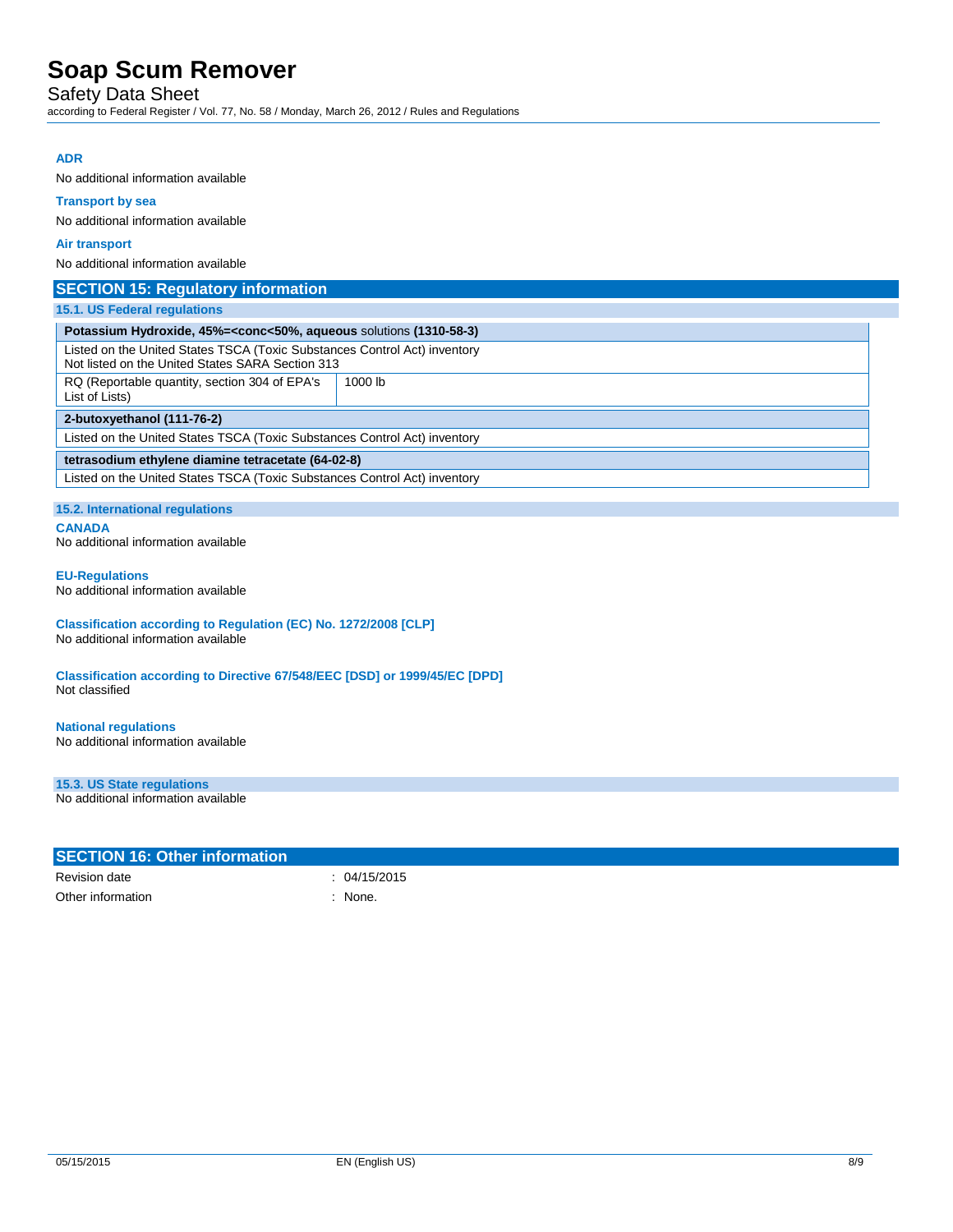Safety Data Sheet

according to Federal Register / Vol. 77, No. 58 / Monday, March 26, 2012 / Rules and Regulations

### **ADR**

No additional information available

## **Transport by sea**

No additional information available

#### **Air transport**

No additional information available

### **SECTION 15: Regulatory information**

### **15.1. US Federal regulations**

| Potassium Hydroxide, 45%= <conc<50%, (1310-58-3)<="" aqueous="" solutions="" td=""></conc<50%,>                               |         |  |
|-------------------------------------------------------------------------------------------------------------------------------|---------|--|
| Listed on the United States TSCA (Toxic Substances Control Act) inventory<br>Not listed on the United States SARA Section 313 |         |  |
| RQ (Reportable quantity, section 304 of EPA's<br>List of Lists)                                                               | 1000 lb |  |
| 2-butoxyethanol (111-76-2)                                                                                                    |         |  |
| Listed on the United States TSCA (Toxic Substances Control Act) inventory                                                     |         |  |
| tetrasodium ethylene diamine tetracetate (64-02-8)                                                                            |         |  |
| Listed on the United States TSCA (Toxic Substances Control Act) inventory                                                     |         |  |

### **15.2. International regulations**

**CANADA**

No additional information available

#### **EU-Regulations**

No additional information available

#### **Classification according to Regulation (EC) No. 1272/2008 [CLP]** No additional information available

**Classification according to Directive 67/548/EEC [DSD] or 1999/45/EC [DPD]** Not classified

### **National regulations**

No additional information available

### **15.3. US State regulations**

No additional information available

| <b>SECTION 16: Other information</b> |              |
|--------------------------------------|--------------|
| Revision date                        | : 04/15/2015 |
| Other information                    | None.        |